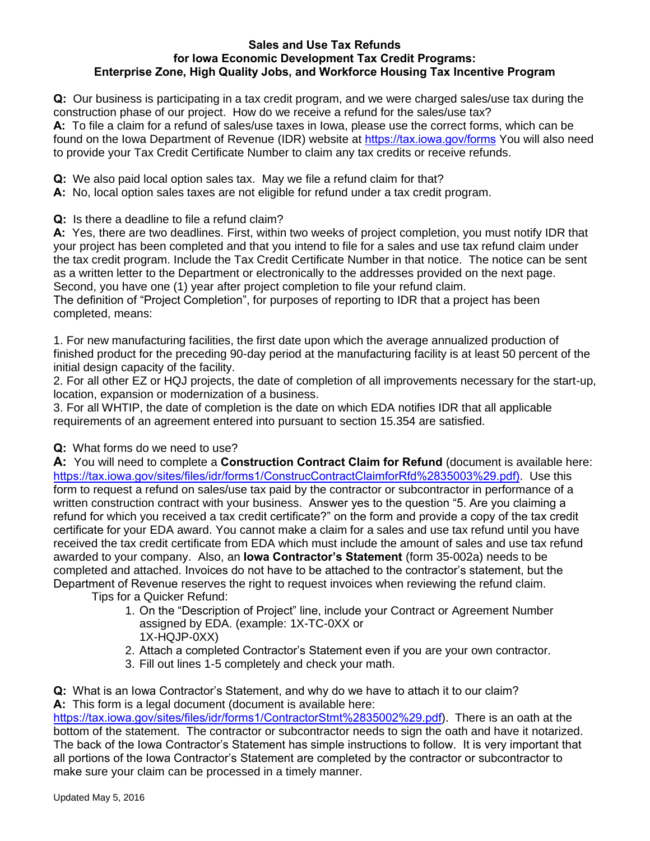### **Sales and Use Tax Refunds for Iowa Economic Development Tax Credit Programs: Enterprise Zone, High Quality Jobs, and Workforce Housing Tax Incentive Program**

**Q:** Our business is participating in a tax credit program, and we were charged sales/use tax during the construction phase of our project. How do we receive a refund for the sales/use tax? **A:** To file a claim for a refund of sales/use taxes in Iowa, please use the correct forms, which can be found on the Iowa Department of Revenue (IDR) website at <https://tax.iowa.gov/forms> You will also need to provide your Tax Credit Certificate Number to claim any tax credits or receive refunds.

**Q:** We also paid local option sales tax. May we file a refund claim for that?

**A:** No, local option sales taxes are not eligible for refund under a tax credit program.

**Q:** Is there a deadline to file a refund claim?

**A:** Yes, there are two deadlines. First, within two weeks of project completion, you must notify IDR that your project has been completed and that you intend to file for a sales and use tax refund claim under the tax credit program. Include the Tax Credit Certificate Number in that notice. The notice can be sent as a written letter to the Department or electronically to the addresses provided on the next page. Second, you have one (1) year after project completion to file your refund claim.

The definition of "Project Completion", for purposes of reporting to IDR that a project has been completed, means:

1. For new manufacturing facilities, the first date upon which the average annualized production of finished product for the preceding 90-day period at the manufacturing facility is at least 50 percent of the initial design capacity of the facility.

2. For all other EZ or HQJ projects, the date of completion of all improvements necessary for the start-up, location, expansion or modernization of a business.

3. For all WHTIP, the date of completion is the date on which EDA notifies IDR that all applicable requirements of an agreement entered into pursuant to section 15.354 are satisfied.

### **Q:** What forms do we need to use?

**A:** You will need to complete a **Construction Contract Claim for Refund** (document is available here: <https://tax.iowa.gov/sites/files/idr/forms1/ConstrucContractClaimforRfd%2835003%29.pdf>). Use this form to request a refund on sales/use tax paid by the contractor or subcontractor in performance of a written construction contract with your business. Answer yes to the question "5. Are you claiming a refund for which you received a tax credit certificate?" on the form and provide a copy of the tax credit certificate for your EDA award. You cannot make a claim for a sales and use tax refund until you have received the tax credit certificate from EDA which must include the amount of sales and use tax refund awarded to your company. Also, an **Iowa Contractor's Statement** (form 35-002a) needs to be completed and attached. Invoices do not have to be attached to the contractor's statement, but the Department of Revenue reserves the right to request invoices when reviewing the refund claim.

Tips for a Quicker Refund:

- 1. On the "Description of Project" line, include your Contract or Agreement Number assigned by EDA. (example: 1X-TC-0XX or 1X-HQJP-0XX)
- 2. Attach a completed Contractor's Statement even if you are your own contractor.
- 3. Fill out lines 1-5 completely and check your math.

**Q:** What is an Iowa Contractor's Statement, and why do we have to attach it to our claim? **A:** This form is a legal document (document is available here:

<https://tax.iowa.gov/sites/files/idr/forms1/ContractorStmt%2835002%29.pdf>). There is an oath at the bottom of the statement. The contractor or subcontractor needs to sign the oath and have it notarized. The back of the Iowa Contractor's Statement has simple instructions to follow. It is very important that all portions of the Iowa Contractor's Statement are completed by the contractor or subcontractor to make sure your claim can be processed in a timely manner.